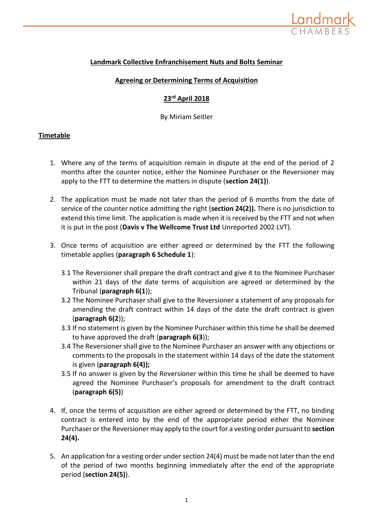

# **Landmark Collective Enfranchisement Nuts and Bolts Seminar**

## **Agreeing or Determining Terms of Acquisition**

## **23rd April 2018**

By Miriam Seitler

## **Timetable**

- 1. Where any of the terms of acquisition remain in dispute at the end of the period of 2 months after the counter notice, either the Nominee Purchaser or the Reversioner may apply to the FTT to determine the matters in dispute (**section 24(1)**).
- 2. The application must be made not later than the period of 6 months from the date of service of the counter notice admitting the right (**section 24(2)).** There is no jurisdiction to extend this time limit. The application is made when it is received by the FTT and not when it is put in the post (**Davis v The Wellcome Trust Ltd** Unreported 2002 LVT).
- 3. Once terms of acquisition are either agreed or determined by the FTT the following timetable applies (**paragraph 6 Schedule 1**):
	- 3.1 The Reversioner shall prepare the draft contract and give it to the Nominee Purchaser within 21 days of the date terms of acquisition are agreed or determined by the Tribunal (**paragraph 6(1**));
	- 3.2 The Nominee Purchaser shall give to the Reversioner a statement of any proposals for amending the draft contract within 14 days of the date the draft contract is given (**paragraph 6(2**));
	- 3.3 If no statement is given by the Nominee Purchaser within this time he shall be deemed to have approved the draft (**paragraph 6(3**));
	- 3.4 The Reversioner shall give to the Nominee Purchaser an answer with any objections or comments to the proposals in the statement within 14 days of the date the statement is given (**paragraph 6(4));**
	- 3.5 If no answer is given by the Reversioner within this time he shall be deemed to have agreed the Nominee Purchaser's proposals for amendment to the draft contract (**paragraph 6(5)**)
- 4. If, once the terms of acquisition are either agreed or determined by the FTT, no binding contract is entered into by the end of the appropriate period either the Nominee Purchaser or the Reversioner may apply to the court for a vesting order pursuant to **section 24(4).**
- 5. An application for a vesting order under section 24(4) must be made not later than the end of the period of two months beginning immediately after the end of the appropriate period (**section 24(5)**).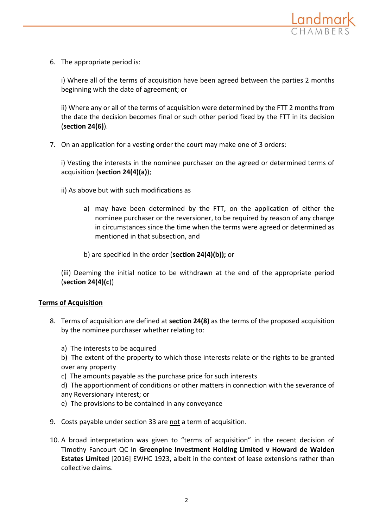

6. The appropriate period is:

i) Where all of the terms of acquisition have been agreed between the parties 2 months beginning with the date of agreement; or

ii) Where any or all of the terms of acquisition were determined by the FTT 2 months from the date the decision becomes final or such other period fixed by the FTT in its decision (**section 24(6)**).

7. On an application for a vesting order the court may make one of 3 orders:

i) Vesting the interests in the nominee purchaser on the agreed or determined terms of acquisition (**section 24(4)(a)**);

- ii) As above but with such modifications as
	- a) may have been determined by the FTT, on the application of either the nominee purchaser or the reversioner, to be required by reason of any change in circumstances since the time when the terms were agreed or determined as mentioned in that subsection, and
	- b) are specified in the order (**section 24(4)(b));** or

(iii) Deeming the initial notice to be withdrawn at the end of the appropriate period (**section 24(4)(c**))

## **Terms of Acquisition**

- 8. Terms of acquisition are defined at **section 24(8)** as the terms of the proposed acquisition by the nominee purchaser whether relating to:
	- a) The interests to be acquired

b) The extent of the property to which those interests relate or the rights to be granted over any property

- c) The amounts payable as the purchase price for such interests
- d) The apportionment of conditions or other matters in connection with the severance of any Reversionary interest; or
- e) The provisions to be contained in any conveyance
- 9. Costs payable under section 33 are not a term of acquisition.
- 10. A broad interpretation was given to "terms of acquisition" in the recent decision of Timothy Fancourt QC in **Greenpine Investment Holding Limited v Howard de Walden Estates Limited** [2016] EWHC 1923, albeit in the context of lease extensions rather than collective claims.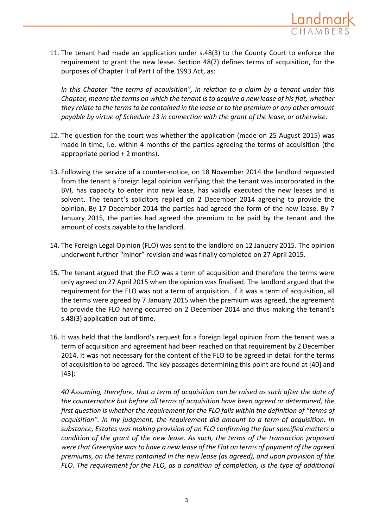

11. The tenant had made an application under s.48(3) to the County Court to enforce the requirement to grant the new lease. Section 48(7) defines terms of acquisition, for the purposes of Chapter II of Part I of the 1993 Act, as:

*In this Chapter "the terms of acquisition", in relation to a claim by a tenant under this Chapter, means the terms on which the tenant is to acquire a new lease of his flat, whether they relate to the terms to be contained in the lease or to the premium or any other amount payable by virtue of Schedule 13 in connection with the grant of the lease, or otherwise.*

- 12. The question for the court was whether the application (made on 25 August 2015) was made in time, i.e. within 4 months of the parties agreeing the terms of acquisition (the appropriate period  $+ 2$  months).
- 13. Following the service of a counter-notice, on 18 November 2014 the landlord requested from the tenant a foreign legal opinion verifying that the tenant was incorporated in the BVI, has capacity to enter into new lease, has validly executed the new leases and is solvent. The tenant's solicitors replied on 2 December 2014 agreeing to provide the opinion. By 17 December 2014 the parties had agreed the form of the new lease. By 7 January 2015, the parties had agreed the premium to be paid by the tenant and the amount of costs payable to the landlord.
- 14. The Foreign Legal Opinion (FLO) was sent to the landlord on 12 January 2015. The opinion underwent further "minor" revision and was finally completed on 27 April 2015.
- 15. The tenant argued that the FLO was a term of acquisition and therefore the terms were only agreed on 27 April 2015 when the opinion was finalised. The landlord argued that the requirement for the FLO was not a term of acquisition. If it was a term of acquisition, all the terms were agreed by 7 January 2015 when the premium was agreed, the agreement to provide the FLO having occurred on 2 December 2014 and thus making the tenant's s.48(3) application out of time.
- 16. It was held that the landlord's request for a foreign legal opinion from the tenant was a term of acquisition and agreement had been reached on that requirement by 2 December 2014. It was not necessary for the content of the FLO to be agreed in detail for the terms of acquisition to be agreed. The key passages determining this point are found at [40] and [43]:

*40 Assuming, therefore, that a term of acquisition can be raised as such after the date of the counternotice but before all terms of acquisition have been agreed or determined, the first question is whether the requirement for the FLO falls within the definition of "terms of acquisition". In my judgment, the requirement did amount to a term of acquisition. In substance, Estates was making provision of an FLO confirming the four specified matters a condition of the grant of the new lease. As such, the terms of the transaction proposed were that Greenpine was to have a new lease of the Flat on terms of payment of the agreed premiums, on the terms contained in the new lease (as agreed), and upon provision of the FLO. The requirement for the FLO, as a condition of completion, is the type of additional*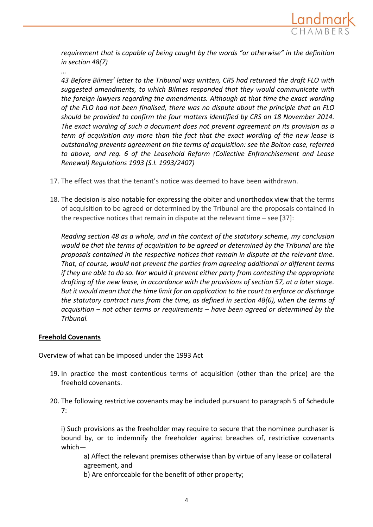

*requirement that is capable of being caught by the words "or otherwise" in the definition in section 48(7)*

*43 Before Bilmes' letter to the Tribunal was written, CRS had returned the draft FLO with suggested amendments, to which Bilmes responded that they would communicate with the foreign lawyers regarding the amendments. Although at that time the exact wording of the FLO had not been finalised, there was no dispute about the principle that an FLO should be provided to confirm the four matters identified by CRS on 18 November 2014. The exact wording of such a document does not prevent agreement on its provision as a term of acquisition any more than the fact that the exact wording of the new lease is outstanding prevents agreement on the terms of acquisition: see the Bolton case, referred to above, and reg. 6 of the Leasehold Reform (Collective Enfranchisement and Lease Renewal) Regulations 1993 (S.I. 1993/2407)*

- 17. The effect was that the tenant's notice was deemed to have been withdrawn.
- 18. The decision is also notable for expressing the obiter and unorthodox view that the terms of acquisition to be agreed or determined by the Tribunal are the proposals contained in the respective notices that remain in dispute at the relevant time – see [37]:

*Reading section 48 as a whole, and in the context of the statutory scheme, my conclusion would be that the terms of acquisition to be agreed or determined by the Tribunal are the proposals contained in the respective notices that remain in dispute at the relevant time. That, of course, would not prevent the parties from agreeing additional or different terms if they are able to do so. Nor would it prevent either party from contesting the appropriate drafting of the new lease, in accordance with the provisions of section 57, at a later stage. But it would mean that the time limit for an application to the court to enforce or discharge the statutory contract runs from the time, as defined in section 48(6), when the terms of acquisition – not other terms or requirements – have been agreed or determined by the Tribunal.*

## **Freehold Covenants**

*…*

## Overview of what can be imposed under the 1993 Act

- 19. In practice the most contentious terms of acquisition (other than the price) are the freehold covenants.
- 20. The following restrictive covenants may be included pursuant to paragraph 5 of Schedule 7:

i) Such provisions as the freeholder may require to secure that the nominee purchaser is bound by, or to indemnify the freeholder against breaches of, restrictive covenants which—

a) Affect the relevant premises otherwise than by virtue of any lease or collateral agreement, and

b) Are enforceable for the benefit of other property;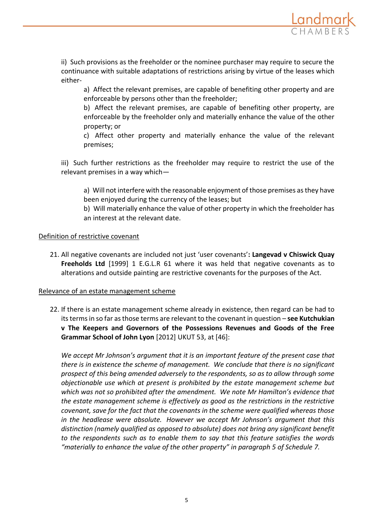

ii) Such provisions as the freeholder or the nominee purchaser may require to secure the continuance with suitable adaptations of restrictions arising by virtue of the leases which either-

a) Affect the relevant premises, are capable of benefiting other property and are enforceable by persons other than the freeholder;

b) Affect the relevant premises, are capable of benefiting other property, are enforceable by the freeholder only and materially enhance the value of the other property; or

c) Affect other property and materially enhance the value of the relevant premises;

iii) Such further restrictions as the freeholder may require to restrict the use of the relevant premises in a way which—

a) Will not interfere with the reasonable enjoyment of those premises as they have been enjoyed during the currency of the leases; but

b) Will materially enhance the value of other property in which the freeholder has an interest at the relevant date.

## Definition of restrictive covenant

21. All negative covenants are included not just 'user covenants'**: Langevad v Chiswick Quay Freeholds Ltd** [1999] 1 E.G.L.R 61 where it was held that negative covenants as to alterations and outside painting are restrictive covenants for the purposes of the Act.

## Relevance of an estate management scheme

22. If there is an estate management scheme already in existence, then regard can be had to its terms in so far as those terms are relevant to the covenant in question – **see Kutchukian v The Keepers and Governors of the Possessions Revenues and Goods of the Free Grammar School of John Lyon** [2012] UKUT 53, at [46]:

*We accept Mr Johnson's argument that it is an important feature of the present case that there is in existence the scheme of management. We conclude that there is no significant prospect of this being amended adversely to the respondents, so as to allow through some objectionable use which at present is prohibited by the estate management scheme but which was not so prohibited after the amendment. We note Mr Hamilton's evidence that the estate management scheme is effectively as good as the restrictions in the restrictive covenant, save for the fact that the covenants in the scheme were qualified whereas those in the headlease were absolute. However we accept Mr Johnson's argument that this distinction (namely qualified as opposed to absolute) does not bring any significant benefit to the respondents such as to enable them to say that this feature satisfies the words "materially to enhance the value of the other property" in paragraph 5 of Schedule 7.*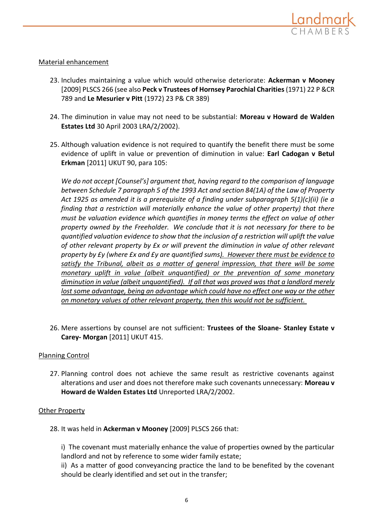

## Material enhancement

- 23. Includes maintaining a value which would otherwise deteriorate: **Ackerman v Mooney** [2009] PLSCS 266 (see also **Peck v Trustees of Hornsey Parochial Charities**(1971) 22 P &CR 789 and **Le Mesurier v Pitt** (1972) 23 P& CR 389)
- 24. The diminution in value may not need to be substantial: **Moreau v Howard de Walden Estates Ltd** 30 April 2003 LRA/2/2002).
- 25. Although valuation evidence is not required to quantify the benefit there must be some evidence of uplift in value or prevention of diminution in value: **Earl Cadogan v Betul Erkman** [2011] UKUT 90, para 105:

*We do not accept [Counsel's] argument that, having regard to the comparison of language between Schedule 7 paragraph 5 of the 1993 Act and section 84(1A) of the Law of Property Act 1925 as amended it is a prerequisite of a finding under subparagraph 5(1)(c)(ii) (ie a finding that a restriction will materially enhance the value of other property) that there must be valuation evidence which quantifies in money terms the effect on value of other property owned by the Freeholder. We conclude that it is not necessary for there to be quantified valuation evidence to show that the inclusion of a restriction will uplift the value of other relevant property by £x or will prevent the diminution in value of other relevant property by £y (where £x and £y are quantified sums). However there must be evidence to satisfy the Tribunal, albeit as a matter of general impression, that there will be some monetary uplift in value (albeit unquantified) or the prevention of some monetary diminution in value (albeit unquantified). If all that was proved was that a landlord merely*  lost some advantage, being an advantage which could have no effect one way or the other *on monetary values of other relevant property, then this would not be sufficient.*

26. Mere assertions by counsel are not sufficient: **Trustees of the Sloane- Stanley Estate v Carey- Morgan** [2011] UKUT 415.

## Planning Control

27. Planning control does not achieve the same result as restrictive covenants against alterations and user and does not therefore make such covenants unnecessary: **Moreau v Howard de Walden Estates Ltd** Unreported LRA/2/2002.

## Other Property

28. It was held in **Ackerman v Mooney** [2009] PLSCS 266 that:

i) The covenant must materially enhance the value of properties owned by the particular landlord and not by reference to some wider family estate;

ii) As a matter of good conveyancing practice the land to be benefited by the covenant should be clearly identified and set out in the transfer;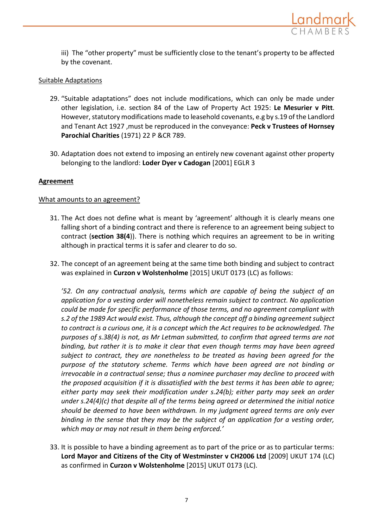

iii) The "other property" must be sufficiently close to the tenant's property to be affected by the covenant.

## Suitable Adaptations

- 29. "Suitable adaptations" does not include modifications, which can only be made under other legislation, i.e. section 84 of the Law of Property Act 1925: **Le Mesurier v Pitt**. However, statutory modifications made to leasehold covenants, e.g by s.19 of the Landlord and Tenant Act 1927 ,must be reproduced in the conveyance: **Peck v Trustees of Hornsey Parochial Charities** (1971) 22 P &CR 789.
- 30. Adaptation does not extend to imposing an entirely new covenant against other property belonging to the landlord: **Loder Dyer v Cadogan** [2001] EGLR 3

## **Agreement**

## What amounts to an agreement?

- 31. The Act does not define what is meant by 'agreement' although it is clearly means one falling short of a binding contract and there is reference to an agreement being subject to contract (**section 38(4**)). There is nothing which requires an agreement to be in writing although in practical terms it is safer and clearer to do so.
- 32. The concept of an agreement being at the same time both binding and subject to contract was explained in **Curzon v Wolstenholme** [2015] UKUT 0173 (LC) as follows:

*'52. On any contractual analysis, terms which are capable of being the subject of an application for a vesting order will nonetheless remain subject to contract. No application could be made for specific performance of those terms, and no agreement compliant with s.2 of the 1989 Act would exist. Thus, although the concept off a binding agreement subject to contract is a curious one, it is a concept which the Act requires to be acknowledged. The purposes of s.38(4) is not, as Mr Letman submitted, to confirm that agreed terms are not binding, but rather it is to make it clear that even though terms may have been agreed subject to contract, they are nonetheless to be treated as having been agreed for the purpose of the statutory scheme. Terms which have been agreed are not binding or irrevocable in a contractual sense; thus a nominee purchaser may decline to proceed with the proposed acquisition if it is dissatisfied with the best terms it has been able to agree; either party may seek their modification under s.24(b); either party may seek an order under s.24(4)(c) that despite all of the terms being agreed or determined the initial notice should be deemed to have been withdrawn. In my judgment agreed terms are only ever binding in the sense that they may be the subject of an application for a vesting order, which may or may not result in them being enforced.'*

33. It is possible to have a binding agreement as to part of the price or as to particular terms: **Lord Mayor and Citizens of the City of Westminster v CH2006 Ltd** [2009] UKUT 174 (LC) as confirmed in **Curzon v Wolstenholme** [2015] UKUT 0173 (LC).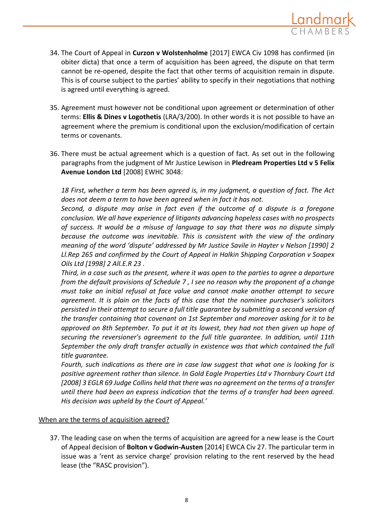

- 34. The Court of Appeal in **Curzon v Wolstenholme** [2017] EWCA Civ 1098 has confirmed (in obiter dicta) that once a term of acquisition has been agreed, the dispute on that term cannot be re-opened, despite the fact that other terms of acquisition remain in dispute. This is of course subject to the parties' ability to specify in their negotiations that nothing is agreed until everything is agreed.
- 35. Agreement must however not be conditional upon agreement or determination of other terms: **Ellis & Dines v Logothetis** (LRA/3/200). In other words it is not possible to have an agreement where the premium is conditional upon the exclusion/modification of certain terms or covenants.
- 36. There must be actual agreement which is a question of fact. As set out in the following paragraphs from the judgment of Mr Justice Lewison in **Pledream Properties Ltd v 5 Felix Avenue London Ltd** [2008] EWHC 3048:

*18 First, whether a term has been agreed is, in my judgment, a question of fact. The Act does not deem a term to have been agreed when in fact it has not.* 

*Second, a dispute may arise in fact even if the outcome of a dispute is a foregone conclusion. We all have experience of litigants advancing hopeless cases with no prospects of success. It would be a misuse of language to say that there was no dispute simply because the outcome was inevitable. This is consistent with the view of the ordinary meaning of the word 'dispute' addressed by Mr Justice Savile in Hayter v Nelson [1990] 2 Ll.Rep 265 and confirmed by the Court of Appeal in Halkin Shipping Corporation v Soapex Oils Ltd [1998] 2 All.E.R 23 .* 

*Third, in a case such as the present, where it was open to the parties to agree a departure from the default provisions of Schedule 7 , I see no reason why the proponent of a change must take an initial refusal at face value and cannot make another attempt to secure agreement. It is plain on the facts of this case that the nominee purchaser's solicitors persisted in their attempt to secure a full title guarantee by submitting a second version of the transfer containing that covenant on 1st September and moreover asking for it to be approved on 8th September. To put it at its lowest, they had not then given up hope of securing the reversioner's agreement to the full title guarantee. In addition, until 11th September the only draft transfer actually in existence was that which contained the full title guarantee.*

*Fourth, such indications as there are in case law suggest that what one is looking for is positive agreement rather than silence. In Gold Eagle Properties Ltd v Thornbury Court Ltd [2008] 3 EGLR 69 Judge Collins held that there was no agreement on the terms of a transfer until there had been an express indication that the terms of a transfer had been agreed. His decision was upheld by the Court of Appeal.'*

## When are the terms of acquisition agreed?

37. The leading case on when the terms of acquisition are agreed for a new lease is the Court of Appeal decision of **Bolton v Godwin-Austen** [2014] EWCA Civ 27. The particular term in issue was a 'rent as service charge' provision relating to the rent reserved by the head lease (the "RASC provision").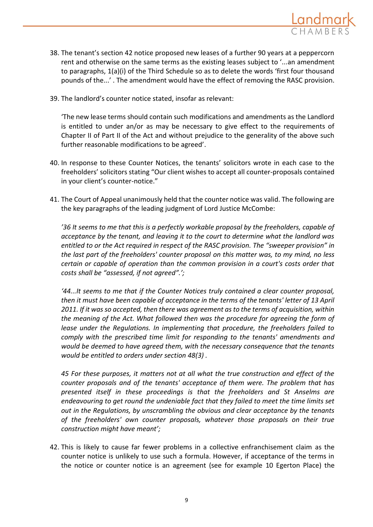

- 38. The tenant's section 42 notice proposed new leases of a further 90 years at a peppercorn rent and otherwise on the same terms as the existing leases subject to '...an amendment to paragraphs, 1(a)(i) of the Third Schedule so as to delete the words 'first four thousand pounds of the...' . The amendment would have the effect of removing the RASC provision.
- 39. The landlord's counter notice stated, insofar as relevant:

'The new lease terms should contain such modifications and amendments as the Landlord is entitled to under an/or as may be necessary to give effect to the requirements of Chapter II of Part II of the Act and without prejudice to the generality of the above such further reasonable modifications to be agreed'.

- 40. In response to these Counter Notices, the tenants' solicitors wrote in each case to the freeholders' solicitors stating "Our client wishes to accept all counter-proposals contained in your client's counter-notice."
- 41. The Court of Appeal unanimously held that the counter notice was valid. The following are the key paragraphs of the leading judgment of Lord Justice McCombe:

*'36 It seems to me that this is a perfectly workable proposal by the freeholders, capable of acceptance by the tenant, and leaving it to the court to determine what the landlord was entitled to or the Act required in respect of the RASC provision. The "sweeper provision" in the last part of the freeholders' counter proposal on this matter was, to my mind, no less certain or capable of operation than the common provision in a court's costs order that costs shall be "assessed, if not agreed".';*

*'44...It seems to me that if the Counter Notices truly contained a clear counter proposal, then it must have been capable of acceptance in the terms of the tenants' letter of 13 April 2011. If it was so accepted, then there was agreement as to the terms of acquisition, within the meaning of the Act. What followed then was the procedure for agreeing the form of lease under the Regulations. In implementing that procedure, the freeholders failed to comply with the prescribed time limit for responding to the tenants' amendments and would be deemed to have agreed them, with the necessary consequence that the tenants would be entitled to orders under section 48(3) .*

*45 For these purposes, it matters not at all what the true construction and effect of the counter proposals and of the tenants' acceptance of them were. The problem that has presented itself in these proceedings is that the freeholders and St Anselms are endeavouring to get round the undeniable fact that they failed to meet the time limits set out in the Regulations, by unscrambling the obvious and clear acceptance by the tenants of the freeholders' own counter proposals, whatever those proposals on their true construction might have meant';*

42. This is likely to cause far fewer problems in a collective enfranchisement claim as the counter notice is unlikely to use such a formula. However, if acceptance of the terms in the notice or counter notice is an agreement (see for example 10 Egerton Place) the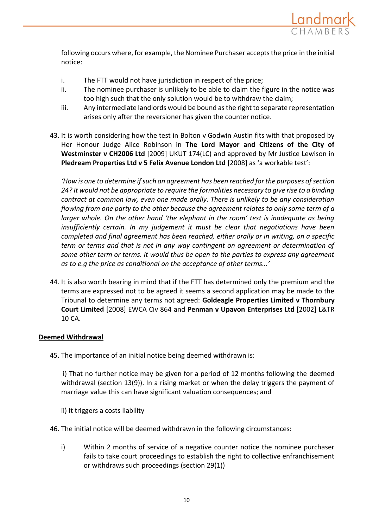

following occurs where, for example, the Nominee Purchaser accepts the price in the initial notice:

- i. The FTT would not have jurisdiction in respect of the price;
- ii. The nominee purchaser is unlikely to be able to claim the figure in the notice was too high such that the only solution would be to withdraw the claim;
- iii. Any intermediate landlords would be bound as the right to separate representation arises only after the reversioner has given the counter notice.
- 43. It is worth considering how the test in Bolton v Godwin Austin fits with that proposed by Her Honour Judge Alice Robinson in **The Lord Mayor and Citizens of the City of Westminster v CH2006 Ltd** [2009] UKUT 174(LC) and approved by Mr Justice Lewison in **Pledream Properties Ltd v 5 Felix Avenue London Ltd** [2008] as 'a workable test':

*'How is one to determine if such an agreement has been reached for the purposes of section 24? It would not be appropriate to require the formalities necessary to give rise to a binding contract at common law, even one made orally. There is unlikely to be any consideration flowing from one party to the other because the agreement relates to only some term of a larger whole. On the other hand 'the elephant in the room' test is inadequate as being insufficiently certain. In my judgement it must be clear that negotiations have been completed and final agreement has been reached, either orally or in writing, on a specific term or terms and that is not in any way contingent on agreement or determination of some other term or terms. It would thus be open to the parties to express any agreement as to e.g the price as conditional on the acceptance of other terms...'*

44. It is also worth bearing in mind that if the FTT has determined only the premium and the terms are expressed not to be agreed it seems a second application may be made to the Tribunal to determine any terms not agreed: **Goldeagle Properties Limited v Thornbury Court Limited** [2008] EWCA Civ 864 and **Penman v Upavon Enterprises Ltd** [2002] L&TR 10 CA.

## **Deemed Withdrawal**

45. The importance of an initial notice being deemed withdrawn is:

i) That no further notice may be given for a period of 12 months following the deemed withdrawal (section 13(9)). In a rising market or when the delay triggers the payment of marriage value this can have significant valuation consequences; and

- ii) It triggers a costs liability
- 46. The initial notice will be deemed withdrawn in the following circumstances:
	- i) Within 2 months of service of a negative counter notice the nominee purchaser fails to take court proceedings to establish the right to collective enfranchisement or withdraws such proceedings (section 29(1))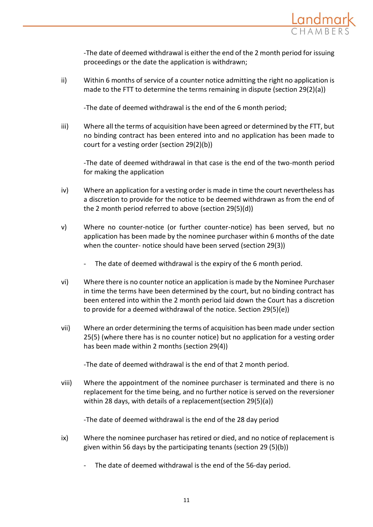

-The date of deemed withdrawal is either the end of the 2 month period for issuing proceedings or the date the application is withdrawn;

ii) Within 6 months of service of a counter notice admitting the right no application is made to the FTT to determine the terms remaining in dispute (section 29(2)(a))

-The date of deemed withdrawal is the end of the 6 month period;

iii) Where all the terms of acquisition have been agreed or determined by the FTT, but no binding contract has been entered into and no application has been made to court for a vesting order (section 29(2)(b))

-The date of deemed withdrawal in that case is the end of the two-month period for making the application

- iv) Where an application for a vesting order is made in time the court nevertheless has a discretion to provide for the notice to be deemed withdrawn as from the end of the 2 month period referred to above (section 29(5)(d))
- v) Where no counter-notice (or further counter-notice) has been served, but no application has been made by the nominee purchaser within 6 months of the date when the counter- notice should have been served (section 29(3))
	- The date of deemed withdrawal is the expiry of the 6 month period.
- vi) Where there is no counter notice an application is made by the Nominee Purchaser in time the terms have been determined by the court, but no binding contract has been entered into within the 2 month period laid down the Court has a discretion to provide for a deemed withdrawal of the notice. Section 29(5)(e))
- vii) Where an order determining the terms of acquisition has been made under section 25(5) (where there has is no counter notice) but no application for a vesting order has been made within 2 months (section 29(4))

-The date of deemed withdrawal is the end of that 2 month period.

viii) Where the appointment of the nominee purchaser is terminated and there is no replacement for the time being, and no further notice is served on the reversioner within 28 days, with details of a replacement(section 29(5)(a))

-The date of deemed withdrawal is the end of the 28 day period

- ix) Where the nominee purchaser has retired or died, and no notice of replacement is given within 56 days by the participating tenants (section 29 (5)(b))
	- The date of deemed withdrawal is the end of the 56-day period.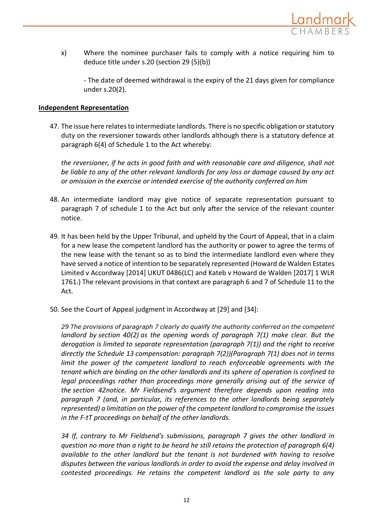

x) Where the nominee purchaser fails to comply with a notice requiring him to deduce title under s.20 (section 29 (5)(b))

- The date of deemed withdrawal is the expiry of the 21 days given for compliance under s.20(2).

## **Independent Representation**

47. The issue here relates to intermediate landlords. There is no specific obligation or statutory duty on the reversioner towards other landlords although there is a statutory defence at paragraph 6(4) of Schedule 1 to the Act whereby:

*the reversioner, if he acts in good faith and with reasonable care and diligence, shall not be liable to any of the other relevant landlords for any loss or damage caused by any act or omission in the exercise or intended exercise of the authority conferred on him*

- 48. An intermediate landlord may give notice of separate representation pursuant to paragraph 7 of schedule 1 to the Act but only after the service of the relevant counter notice.
- 49. It has been held by the Upper Tribunal, and upheld by the Court of Appeal, that in a claim for a new lease the competent landlord has the authority or power to agree the terms of the new lease with the tenant so as to bind the intermediate landlord even where they have served a notice of intention to be separately represented (Howard de Walden Estates Limited v Accordway [2014] UKUT 0486(LC) and Kateb v Howard de Walden [2017] 1 WLR 1761.) The relevant provisions in that context are paragraph 6 and 7 of Schedule 11 to the Act.
- 50. See the Court of Appeal judgment in Accordway at [29] and [34]:

*29 The provisions of paragraph 7 clearly do qualify the authority conferred on the competent landlord by section 40(2) as the opening words of paragraph 7(1) make clear. But the derogation is limited to separate representation (paragraph 7(1)) and the right to receive directly the Schedule 13 compensation: paragraph 7(2))(Paragraph 7(1) does not in terms*  limit the power of the competent landlord to reach enforceable agreements with the *tenant which are binding on the other landlords and its sphere of operation is confined to legal proceedings rather than proceedings more generally arising out of the service of the section 42notice. Mr Fieldsend's argument therefore depends upon reading into paragraph 7 (and, in particular, its references to the other landlords being separately represented) a limitation on the power of the competent landlord to compromise the issues in the F-tT proceedings on behalf of the other landlords.*

*34 If, contrary to Mr Fieldsend's submissions, paragraph 7 gives the other landlord in question no more than a right to be heard he still retains the protection of paragraph 6(4) available to the other landlord but the tenant is not burdened with having to resolve disputes between the various landlords in order to avoid the expense and delay involved in contested proceedings. He retains the competent landlord as the sole party to any*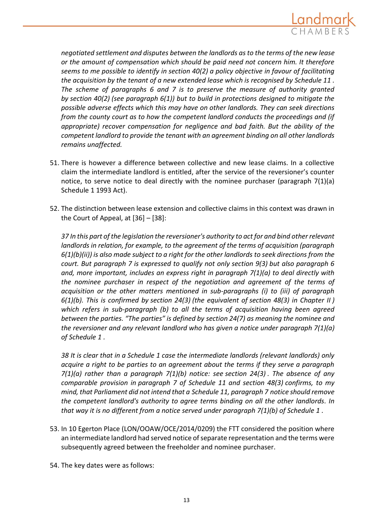

*negotiated settlement and disputes between the landlords as to the terms of the new lease or the amount of compensation which should be paid need not concern him. It therefore seems to me possible to identify in section 40(2) a policy objective in favour of facilitating the acquisition by the tenant of a new extended lease which is recognised by Schedule 11 . The scheme of paragraphs 6 and 7 is to preserve the measure of authority granted by section 40(2) (see paragraph 6(1)) but to build in protections designed to mitigate the possible adverse effects which this may have on other landlords. They can seek directions from the county court as to how the competent landlord conducts the proceedings and (if appropriate) recover compensation for negligence and bad faith. But the ability of the competent landlord to provide the tenant with an agreement binding on all other landlords remains unaffected.*

- 51. There is however a difference between collective and new lease claims. In a collective claim the intermediate landlord is entitled, after the service of the reversioner's counter notice, to serve notice to deal directly with the nominee purchaser (paragraph 7(1)(a) Schedule 1 1993 Act).
- 52. The distinction between lease extension and collective claims in this context was drawn in the Court of Appeal, at  $[36]$  –  $[38]$ :

*37 In this part of the legislation the reversioner's authority to act for and bind other relevant landlords in relation, for example, to the agreement of the terms of acquisition (paragraph 6(1)(b)(ii)) is also made subject to a right for the other landlords to seek directions from the court. But paragraph 7 is expressed to qualify not only section 9(3) but also paragraph 6 and, more important, includes an express right in paragraph 7(1)(a) to deal directly with the nominee purchaser in respect of the negotiation and agreement of the terms of acquisition or the other matters mentioned in sub-paragraphs (i) to (iii) of paragraph 6(1)(b). This is confirmed by section 24(3) (the equivalent of section 48(3) in Chapter II ) which refers in sub-paragraph (b) to all the terms of acquisition having been agreed between the parties. "The parties" is defined by section 24(7) as meaning the nominee and the reversioner and any relevant landlord who has given a notice under paragraph 7(1)(a) of Schedule 1 .*

*38 It is clear that in a Schedule 1 case the intermediate landlords (relevant landlords) only acquire a right to be parties to an agreement about the terms if they serve a paragraph 7(1)(a) rather than a paragraph 7(1)(b) notice: see section 24(3) . The absence of any comparable provision in paragraph 7 of Schedule 11 and section 48(3) confirms, to my mind, that Parliament did not intend that a Schedule 11, paragraph 7 notice should remove the competent landlord's authority to agree terms binding on all the other landlords. In that way it is no different from a notice served under paragraph 7(1)(b) of Schedule 1 .*

- 53. In 10 Egerton Place (LON/OOAW/OCE/2014/0209) the FTT considered the position where an intermediate landlord had served notice of separate representation and the terms were subsequently agreed between the freeholder and nominee purchaser.
- 54. The key dates were as follows: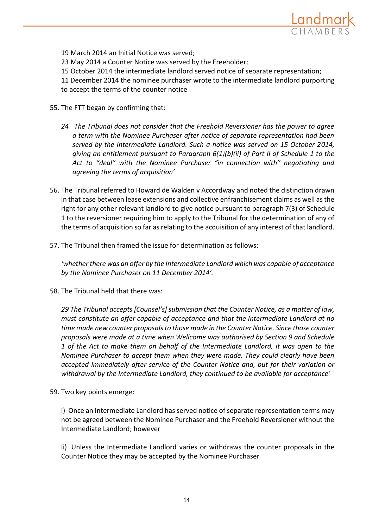

19 March 2014 an Initial Notice was served;

23 May 2014 a Counter Notice was served by the Freeholder;

15 October 2014 the intermediate landlord served notice of separate representation;

11 December 2014 the nominee purchaser wrote to the intermediate landlord purporting to accept the terms of the counter notice

- 55. The FTT began by confirming that:
	- *24 The Tribunal does not consider that the Freehold Reversioner has the power to agree a term with the Nominee Purchaser after notice of separate representation had been served by the Intermediate Landlord. Such a notice was served on 15 October 2014, giving an entitlement pursuant to Paragraph 6(1)(b)(ii) of Part II of Schedule 1 to the Act to "deal" with the Nominee Purchaser "in connection with" negotiating and agreeing the terms of acquisition'*
- 56. The Tribunal referred to Howard de Walden v Accordway and noted the distinction drawn in that case between lease extensions and collective enfranchisement claims as well as the right for any other relevant landlord to give notice pursuant to paragraph 7(3) of Schedule 1 to the reversioner requiring him to apply to the Tribunal for the determination of any of the terms of acquisition so far as relating to the acquisition of any interest of that landlord.
- 57. The Tribunal then framed the issue for determination as follows:

*'whether there was an offer by the Intermediate Landlord which was capable of acceptance by the Nominee Purchaser on 11 December 2014'.* 

58. The Tribunal held that there was:

*29 The Tribunal accepts [Counsel's] submission that the Counter Notice, as a matter of law, must constitute an offer capable of acceptance and that the Intermediate Landlord at no time made new counter proposals to those made in the Counter Notice. Since those counter proposals were made at a time when Wellcome was authorised by Section 9 and Schedule 1 of the Act to make them on behalf of the Intermediate Landlord, it was open to the Nominee Purchaser to accept them when they were made. They could clearly have been accepted immediately after service of the Counter Notice and, but for their variation or withdrawal by the Intermediate Landlord, they continued to be available for acceptance'* 

59. Two key points emerge:

i) Once an Intermediate Landlord has served notice of separate representation terms may not be agreed between the Nominee Purchaser and the Freehold Reversioner without the Intermediate Landlord; however

ii) Unless the Intermediate Landlord varies or withdraws the counter proposals in the Counter Notice they may be accepted by the Nominee Purchaser